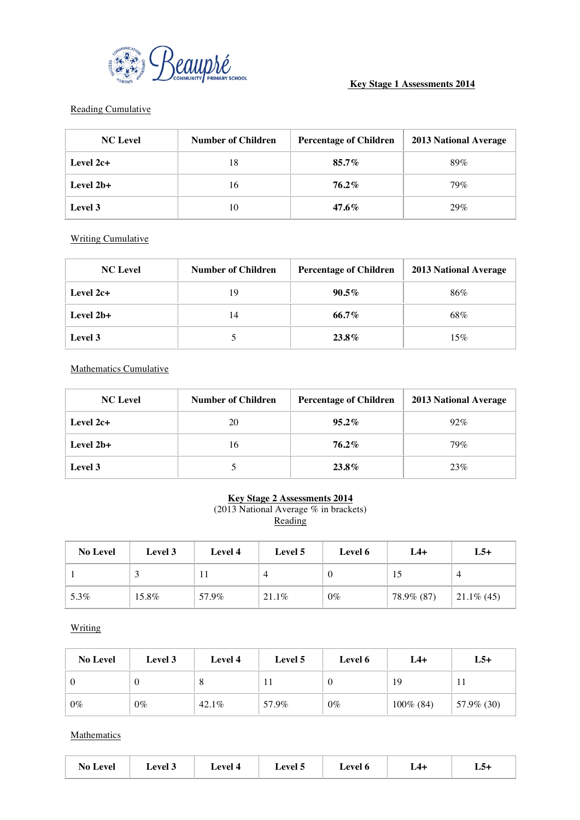

## **Key Stage 1 Assessments 2014**

#### Reading Cumulative

| <b>NC</b> Level | <b>Number of Children</b> | <b>Percentage of Children</b> | <b>2013 National Average</b> |
|-----------------|---------------------------|-------------------------------|------------------------------|
| Level $2c+$     | 18                        | $85.7\%$                      | 89%                          |
| Level 2b+       | 16                        | 76.2%                         | 79%                          |
| Level 3         | 10                        | 47.6%                         | 29%                          |

Writing Cumulative

| <b>NC</b> Level | <b>Number of Children</b> | <b>Percentage of Children</b> | <b>2013 National Average</b> |
|-----------------|---------------------------|-------------------------------|------------------------------|
| Level $2c+$     | 19                        | $90.5\%$                      | 86%                          |
| Level 2b+       | 14                        | 66.7%                         | 68%                          |
| Level 3         |                           | 23.8%                         | 15%                          |

Mathematics Cumulative

| <b>NC</b> Level | <b>Number of Children</b> | <b>Percentage of Children</b> | <b>2013 National Average</b> |
|-----------------|---------------------------|-------------------------------|------------------------------|
| Level $2c+$     | 20                        | $95.2\%$                      | $92\%$                       |
| Level 2b+       | 16                        | 76.2%                         | 79%                          |
| Level 3         |                           | 23.8%                         | 23%                          |

### **Key Stage 2 Assessments 2014**

(2013 National Average % in brackets) Reading

| <b>No Level</b> | Level 3 | Level 4 | Level 5  | Level 6 | $L4+$      | $L5+$         |
|-----------------|---------|---------|----------|---------|------------|---------------|
|                 |         |         | $\Delta$ |         | IJ         |               |
| 5.3%            | 15.8%   | 57.9%   | 21.1%    | $0\%$   | 78.9% (87) | $21.1\%$ (45) |

**Writing** 

| <b>No Level</b> | Level 3 | Level 4 | Level 5 | Level 6 | $L4+$        | $L5+$      |
|-----------------|---------|---------|---------|---------|--------------|------------|
| -0              |         | O       |         |         | 19           |            |
| $0\%$           | $0\%$   | 42.1%   | 57.9%   | $0\%$   | $100\%$ (84) | 57.9% (30) |

**Mathematics** 

| $\mathbf{a}$<br>the contract of the contract of the contract of the contract of the contract of the contract of the contract of | <b>AVAL</b><br>$\sim$ | $\alpha$<br>_____ | $\alpha$ | $\alpha$ |  | LJ+ |
|---------------------------------------------------------------------------------------------------------------------------------|-----------------------|-------------------|----------|----------|--|-----|
|---------------------------------------------------------------------------------------------------------------------------------|-----------------------|-------------------|----------|----------|--|-----|